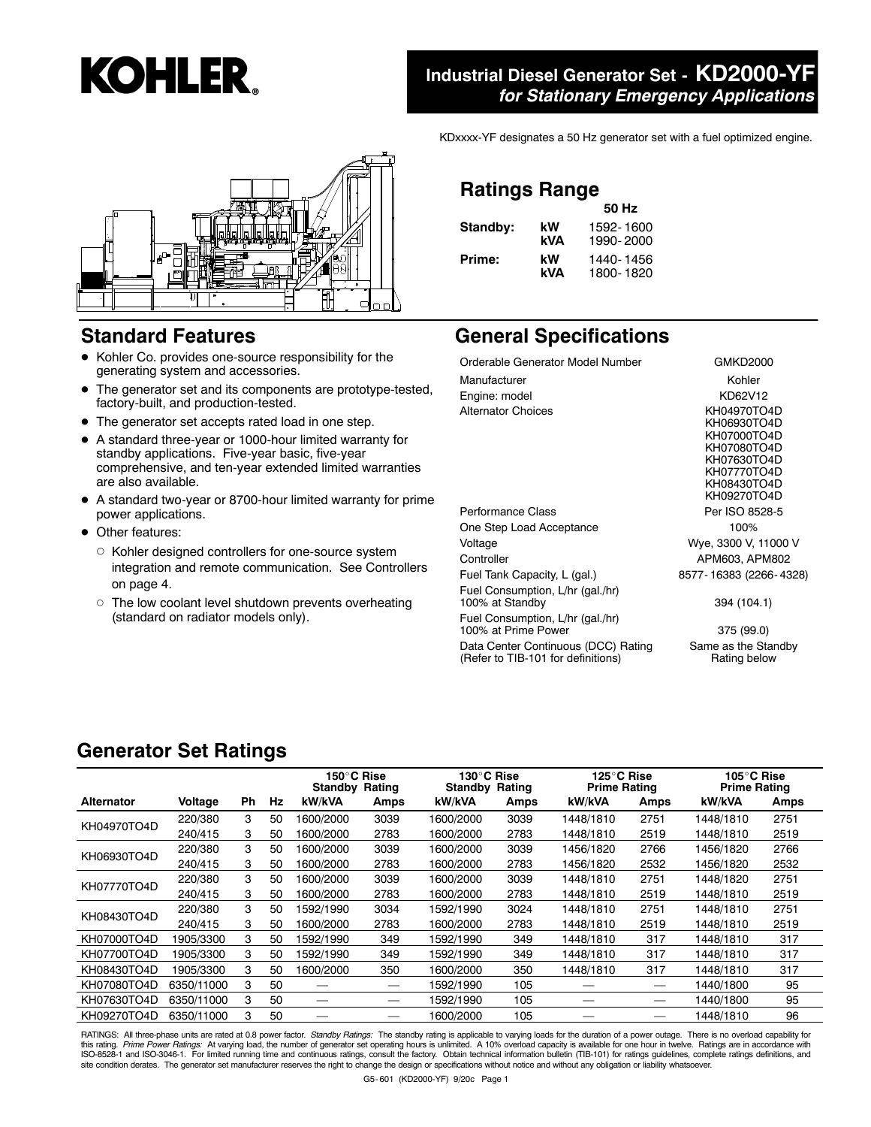





#### **Standard Features**

- $\bullet$  Kohler Co. provides one-source responsibility for the generating system and accessories.
- $\bullet$  The generator set and its components are prototype-tested, factory-built, and production-tested.
- The generator set accepts rated load in one step.
- A standard three-year or 1000-hour limited warranty for standby applications. Five-year basic, five-year comprehensive, and ten-year extended limited warranties are also available.
- A standard two-year or 8700-hour limited warranty for prime power applications.
- Other features:
	- $\circ$  Kohler designed controllers for one-source system integration and remote communication. See Controllers on page 4.
	- $\circ$  The low coolant level shutdown prevents overheating (standard on radiator models only).

KDxxxx-YF designates a 50 Hz generator set with a fuel optimized engine.

#### **Ratings Range**

|          |     | 50 Hz     |
|----------|-----|-----------|
| Standby: | kW  | 1592-1600 |
|          | kVA | 1990-2000 |
| Prime:   | kW  | 1440-1456 |
|          | kV∆ | 1800-1820 |

#### **General Specifications**

| Orderable Generator Model Number                                          | GMKD2000                                                                                                             |
|---------------------------------------------------------------------------|----------------------------------------------------------------------------------------------------------------------|
| Manufacturer                                                              | Kohler                                                                                                               |
| Engine: model                                                             | KD62V12                                                                                                              |
| <b>Alternator Choices</b>                                                 | KH04970TO4D<br>KH06930TO4D<br>KH07000TO4D<br>KH07080TO4D<br>KH07630TO4D<br>KH07770TO4D<br>KH08430TO4D<br>KH09270TO4D |
| Performance Class                                                         | Per ISO 8528-5                                                                                                       |
| One Step Load Acceptance                                                  | 100%                                                                                                                 |
| Voltage                                                                   | Wye, 3300 V, 11000 V                                                                                                 |
| Controller                                                                | APM603, APM802                                                                                                       |
| Fuel Tank Capacity, L (gal.)                                              | 8577-16383 (2266-4328)                                                                                               |
| Fuel Consumption, L/hr (gal./hr)<br>100% at Standby                       | 394 (104.1)                                                                                                          |
| Fuel Consumption, L/hr (gal./hr)<br>100% at Prime Power                   | 375 (99.0)                                                                                                           |
| Data Center Continuous (DCC) Rating<br>(Refer to TIB-101 for definitions) | Same as the Standby<br>Rating below                                                                                  |

#### **Generator Set Ratings**

|                   |            |           |    | 150°C Rise<br>Standby | Rating | 130°C Rise<br><b>Standby Rating</b> |      | 125°C Rise<br><b>Prime Rating</b> |      | 105°C Rise<br><b>Prime Rating</b> |      |
|-------------------|------------|-----------|----|-----------------------|--------|-------------------------------------|------|-----------------------------------|------|-----------------------------------|------|
| <b>Alternator</b> | Voltage    | <b>Ph</b> | Hz | kW/kVA                | Amps   | kW/kVA                              | Amps | kW/kVA                            | Amps | kW/kVA                            | Amps |
| KH04970TO4D       | 220/380    | 3         | 50 | 1600/2000             | 3039   | 1600/2000                           | 3039 | 1448/1810                         | 2751 | 1448/1810                         | 2751 |
|                   | 240/415    | 3         | 50 | 1600/2000             | 2783   | 1600/2000                           | 2783 | 1448/1810                         | 2519 | 1448/1810                         | 2519 |
|                   | 220/380    | 3         | 50 | 1600/2000             | 3039   | 1600/2000                           | 3039 | 1456/1820                         | 2766 | 1456/1820                         | 2766 |
| KH06930TO4D       | 240/415    | 3         | 50 | 1600/2000             | 2783   | 1600/2000                           | 2783 | 1456/1820                         | 2532 | 1456/1820                         | 2532 |
| KH07770TO4D       | 220/380    | 3         | 50 | 1600/2000             | 3039   | 1600/2000                           | 3039 | 1448/1810                         | 2751 | 1448/1820                         | 2751 |
|                   | 240/415    | 3         | 50 | 1600/2000             | 2783   | 1600/2000                           | 2783 | 1448/1810                         | 2519 | 1448/1810                         | 2519 |
| KH08430TO4D       | 220/380    | 3         | 50 | 1592/1990             | 3034   | 1592/1990                           | 3024 | 1448/1810                         | 2751 | 1448/1810                         | 2751 |
|                   | 240/415    | 3         | 50 | 1600/2000             | 2783   | 1600/2000                           | 2783 | 1448/1810                         | 2519 | 1448/1810                         | 2519 |
| KH07000TO4D       | 1905/3300  | 3         | 50 | 1592/1990             | 349    | 1592/1990                           | 349  | 1448/1810                         | 317  | 1448/1810                         | 317  |
| KH07700TO4D       | 1905/3300  | 3         | 50 | 1592/1990             | 349    | 1592/1990                           | 349  | 1448/1810                         | 317  | 1448/1810                         | 317  |
| KH08430TO4D       | 1905/3300  | 3         | 50 | 1600/2000             | 350    | 1600/2000                           | 350  | 1448/1810                         | 317  | 1448/1810                         | 317  |
| KH07080TO4D       | 6350/11000 | 3         | 50 | __                    |        | 1592/1990                           | 105  |                                   | —    | 1440/1800                         | 95   |
| KH07630TO4D       | 6350/11000 | 3         | 50 | --                    |        | 1592/1990                           | 105  |                                   | --   | 1440/1800                         | 95   |
| KH09270TO4D       | 6350/11000 | 3         | 50 |                       |        | 1600/2000                           | 105  |                                   |      | 1448/1810                         | 96   |

RATINGS: All three-phase units are rated at 0.8 power factor. *Standby Ratings:* The standby rating is applicable to varying loads for the duration of a power outage. There is no overload capability for<br>this rating. *Prime*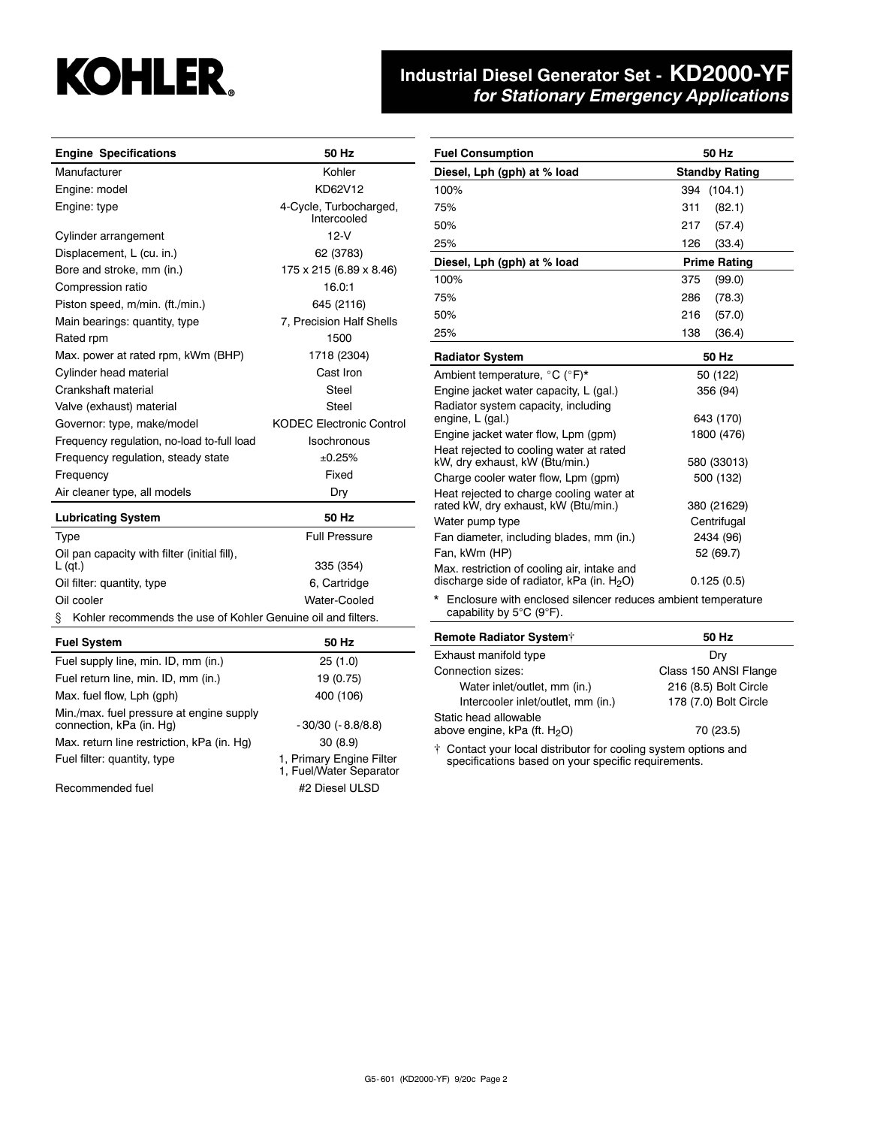# **KOHLER.**

#### **Industrial Diesel Generator Set - KD2000-YF** *for Stationary Emergency Applications*

**Fuel Consumption 50 Hz Diesel, Lph (gph) at % load Standby Rating** 100% 394 (104.1) 75% 311 (82.1) 50% 217 (57.4) 25% 126 (33.4) **Diesel, Lph (gph) at % load Prime Rating** 100% 375 (99.0) 75% 286 (78.3) 50% 216 (57.0) 25% 138 (36.4) **Radiator System 50 Hz** Ambient temperature,  $^{\circ}C$  ( $^{\circ}F$ )\* 50 (122) Engine jacket water capacity, L (gal.) 356 (94)

| <b>Engine Specifications</b>                                      | 50 Hz                                 |  |  |  |
|-------------------------------------------------------------------|---------------------------------------|--|--|--|
| Manufacturer                                                      | Kohler                                |  |  |  |
| Engine: model                                                     | KD62V12                               |  |  |  |
| Engine: type                                                      | 4-Cycle, Turbocharged,<br>Intercooled |  |  |  |
| Cylinder arrangement                                              | 12-V                                  |  |  |  |
| Displacement, L (cu. in.)                                         | 62 (3783)                             |  |  |  |
| Bore and stroke, mm (in.)                                         | 175 x 215 (6.89 x 8.46)               |  |  |  |
| Compression ratio                                                 | 16.0:1                                |  |  |  |
| Piston speed, m/min. (ft./min.)                                   | 645 (2116)                            |  |  |  |
| Main bearings: quantity, type                                     | 7, Precision Half Shells              |  |  |  |
| Rated rpm                                                         | 1500                                  |  |  |  |
| Max. power at rated rpm, kWm (BHP)                                | 1718 (2304)                           |  |  |  |
| Cylinder head material                                            | Cast Iron                             |  |  |  |
| Crankshaft material                                               | Steel                                 |  |  |  |
| Valve (exhaust) material                                          | Steel                                 |  |  |  |
| Governor: type, make/model                                        | <b>KODEC Electronic Control</b>       |  |  |  |
| Frequency regulation, no-load to-full load                        | Isochronous                           |  |  |  |
| Frequency regulation, steady state                                | ±0.25%                                |  |  |  |
| Frequency                                                         | Fixed                                 |  |  |  |
| Air cleaner type, all models                                      | Dry                                   |  |  |  |
| <b>Lubricating System</b>                                         | 50 Hz                                 |  |  |  |
| Type                                                              | <b>Full Pressure</b>                  |  |  |  |
| Oil pan capacity with filter (initial fill),<br>$L$ (qt.)         | 335 (354)                             |  |  |  |
| Oil filter: quantity, type                                        | 6, Cartridge                          |  |  |  |
| Oil cooler                                                        | Water-Cooled                          |  |  |  |
| Kohler recommends the use of Kohler Genuine oil and filters.<br>ş |                                       |  |  |  |
| <b>Fuel System</b>                                                | 50 Hz                                 |  |  |  |
| Fuel supply line, min. ID, mm (in.)<br>25 (1.0)                   |                                       |  |  |  |

Fuel return line, min. ID, mm (in.) 19 (0.75) Max. fuel flow, Lph (gph) 400 (106)

connection, kPa (in. Hg)  $-30/30$  (-8.8/8.8) Max. return line restriction, kPa (in. Hg) 30 (8.9)

Min./max. fuel pressure at engine supply

| kW, dry exhaust, kW (Btu/min.)                                                                                  | 580 (33013)           |
|-----------------------------------------------------------------------------------------------------------------|-----------------------|
| Charge cooler water flow, Lpm (qpm)                                                                             | 500 (132)             |
| Heat rejected to charge cooling water at<br>rated kW, dry exhaust, kW (Btu/min.)                                | 380 (21629)           |
| Water pump type                                                                                                 | Centrifugal           |
| Fan diameter, including blades, mm (in.)                                                                        | 2434 (96)             |
| Fan, kWm (HP)                                                                                                   | 52 (69.7)             |
| Max. restriction of cooling air, intake and<br>discharge side of radiator, kPa (in. $H_2O$ )                    | 0.125(0.5)            |
| * Enclosure with enclosed silencer reduces ambient temperature<br>capability by $5^{\circ}$ C (9 $^{\circ}$ F). |                       |
| <b>Remote Radiator System</b> †                                                                                 | 50 Hz                 |
| Exhaust manifold type                                                                                           | Dry                   |
| Connection sizes:                                                                                               | Class 150 ANSI Flange |
| Water inlet/outlet, mm (in.)                                                                                    | 216 (8.5) Bolt Circle |
| Intercooler inlet/outlet, mm (in.)                                                                              | 178 (7.0) Bolt Circle |

engine, L (gal.) 643 (170) Engine jacket water flow, Lpm (gpm) 1800 (476)

Radiator system capacity, including

Heat rejected to cooling water at rated

| Connection sizes:                                               | Class 150 ANSI Fland  |
|-----------------------------------------------------------------|-----------------------|
| Water inlet/outlet, mm (in.)                                    | 216 (8.5) Bolt Circle |
| Intercooler inlet/outlet, mm (in.)                              | 178 (7.0) Bolt Circle |
| Static head allowable<br>above engine, kPa (ft. $H_2O$ )        | 70 (23.5)             |
| † Contact your local distributor for cooling system options and |                       |

specifications based on your specific requirements.

Recommended fuel #2 Diesel ULSD

Fuel filter: quantity, type 1, Primary Engine Filter 1, Fuel/Water Separator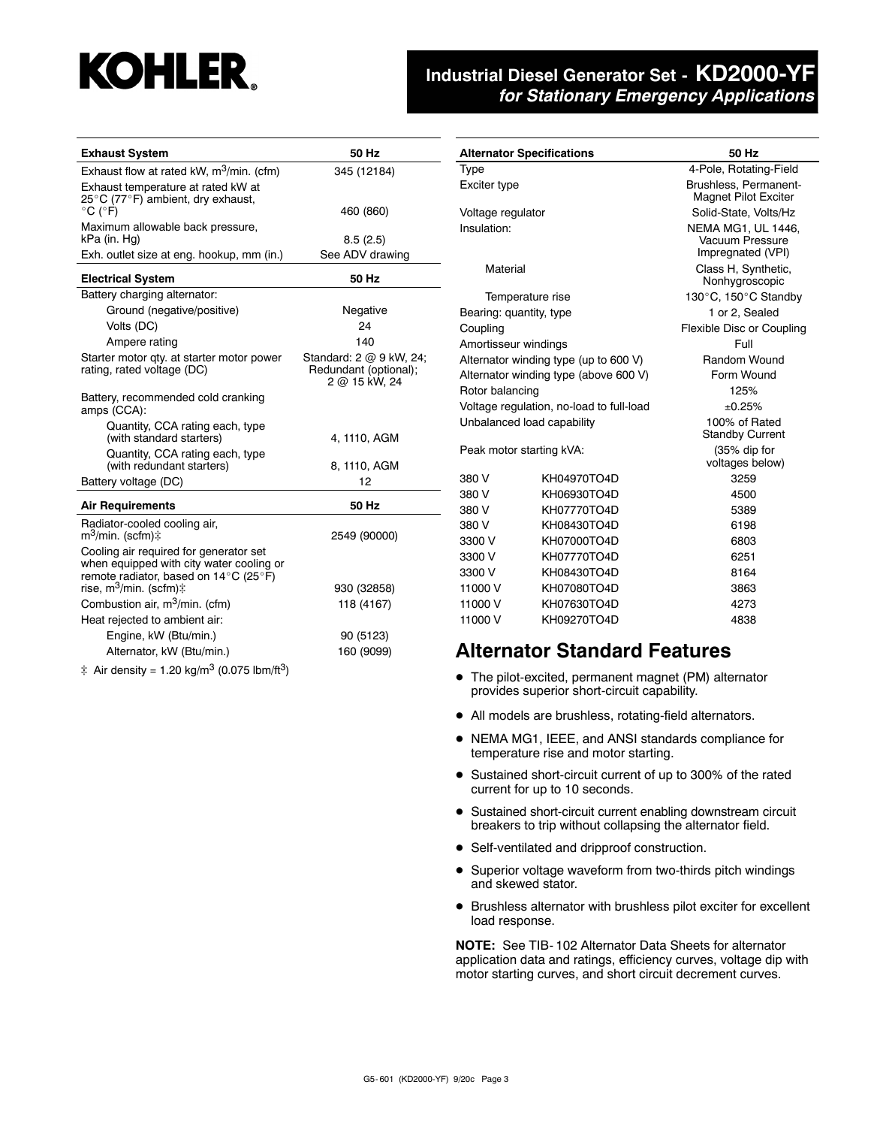# **KOHLER.**

## **Industrial Diesel Generator Set - KD2000-YF** *for Stationary Emergency Applications*

| <b>Exhaust System</b>                                                                                                                                                                                                                                                                                                                                                                         | 50 Hz                                                             |
|-----------------------------------------------------------------------------------------------------------------------------------------------------------------------------------------------------------------------------------------------------------------------------------------------------------------------------------------------------------------------------------------------|-------------------------------------------------------------------|
| Exhaust flow at rated kW, $m^3$ /min. (cfm)                                                                                                                                                                                                                                                                                                                                                   | 345 (12184)                                                       |
| Exhaust temperature at rated kW at<br>25°C (77°F) ambient, dry exhaust,<br>$^{\circ}$ C ( $^{\circ}$ F)                                                                                                                                                                                                                                                                                       | 460 (860)                                                         |
| Maximum allowable back pressure,<br>kPa (in. Hg)                                                                                                                                                                                                                                                                                                                                              | 8.5(2.5)                                                          |
| Exh. outlet size at eng. hookup, mm (in.)                                                                                                                                                                                                                                                                                                                                                     | See ADV drawing                                                   |
| <b>Electrical System</b>                                                                                                                                                                                                                                                                                                                                                                      | 50 Hz                                                             |
| Battery charging alternator:                                                                                                                                                                                                                                                                                                                                                                  |                                                                   |
| Ground (negative/positive)                                                                                                                                                                                                                                                                                                                                                                    | Negative                                                          |
| Volts (DC)                                                                                                                                                                                                                                                                                                                                                                                    | 24                                                                |
| Ampere rating                                                                                                                                                                                                                                                                                                                                                                                 | 140                                                               |
| Starter motor qty. at starter motor power<br>rating, rated voltage (DC)                                                                                                                                                                                                                                                                                                                       | Standard: 2 @ 9 kW, 24;<br>Redundant (optional);<br>2 @ 15 kW, 24 |
| Battery, recommended cold cranking<br>amps (CCA):                                                                                                                                                                                                                                                                                                                                             |                                                                   |
| Quantity, CCA rating each, type<br>(with standard starters)                                                                                                                                                                                                                                                                                                                                   | 4, 1110, AGM                                                      |
| Quantity, CCA rating each, type<br>(with redundant starters)                                                                                                                                                                                                                                                                                                                                  | 8, 1110, AGM                                                      |
| Battery voltage (DC)                                                                                                                                                                                                                                                                                                                                                                          | 12                                                                |
| <b>Air Requirements</b>                                                                                                                                                                                                                                                                                                                                                                       | 50 Hz                                                             |
| Radiator-cooled cooling air,<br>m <sup>3</sup> /min. (scfm)‡                                                                                                                                                                                                                                                                                                                                  | 2549 (90000)                                                      |
| Cooling air required for generator set<br>when equipped with city water cooling or<br>remote radiator, based on 14°C (25°F)                                                                                                                                                                                                                                                                   |                                                                   |
| rise, m <sup>3</sup> /min. (scfm) $\ddagger$                                                                                                                                                                                                                                                                                                                                                  | 930 (32858)                                                       |
| Combustion air, m <sup>3</sup> /min. (cfm)                                                                                                                                                                                                                                                                                                                                                    | 118 (4167)                                                        |
| Heat rejected to ambient air:                                                                                                                                                                                                                                                                                                                                                                 |                                                                   |
| Engine, kW (Btu/min.)                                                                                                                                                                                                                                                                                                                                                                         | 90 (5123)                                                         |
| Alternator, kW (Btu/min.)                                                                                                                                                                                                                                                                                                                                                                     | 160 (9099)                                                        |
| $\lambda$ . $\lambda$ . $\lambda$ . $\lambda$ . $\lambda$ . $\lambda$ . $\lambda$ . $\lambda$ . $\lambda$ . $\lambda$ . $\lambda$ . $\lambda$ . $\lambda$ . $\lambda$ . $\lambda$ . $\lambda$ . $\lambda$ . $\lambda$ . $\lambda$ . $\lambda$ . $\lambda$ . $\lambda$ . $\lambda$ . $\lambda$ . $\lambda$ . $\lambda$ . $\lambda$ . $\lambda$ . $\lambda$ . $\lambda$ . $\lambda$ . $\lambda$ |                                                                   |

 $\ddagger$  Air density = 1.20 kg/m<sup>3</sup> (0.075 lbm/ft<sup>3</sup>)

|                            | <b>Alternator Specifications</b>         | 50 Hz                                                      |  |  |
|----------------------------|------------------------------------------|------------------------------------------------------------|--|--|
| Type                       |                                          | 4-Pole, Rotating-Field                                     |  |  |
| Exciter type               |                                          | Brushless, Permanent-<br><b>Magnet Pilot Exciter</b>       |  |  |
| Voltage regulator          |                                          | Solid-State, Volts/Hz                                      |  |  |
| Insulation:                |                                          | NEMA MG1, UL 1446,<br>Vacuum Pressure<br>Impregnated (VPI) |  |  |
| Material                   |                                          | Class H, Synthetic,<br>Nonhygroscopic                      |  |  |
|                            | Temperature rise                         | 130°C, 150°C Standby                                       |  |  |
| Bearing: quantity, type    |                                          | 1 or 2, Sealed                                             |  |  |
| Coupling                   |                                          | Flexible Disc or Coupling                                  |  |  |
| Amortisseur windings       |                                          | Full                                                       |  |  |
|                            | Alternator winding type (up to 600 V)    | Random Wound                                               |  |  |
|                            | Alternator winding type (above 600 V)    | Form Wound                                                 |  |  |
| Rotor balancing            |                                          | 125%                                                       |  |  |
|                            | Voltage regulation, no-load to full-load | ±0.25%                                                     |  |  |
| Unbalanced load capability |                                          | 100% of Rated<br><b>Standby Current</b>                    |  |  |
| Peak motor starting kVA:   |                                          | (35% dip for<br>voltages below)                            |  |  |
| 380 V                      | KH04970TO4D                              | 3259                                                       |  |  |
| 380 V                      | KH06930TO4D                              | 4500                                                       |  |  |
| 380 V                      | KH07770TO4D                              | 5389                                                       |  |  |
| 380 V                      | KH08430TO4D                              | 6198                                                       |  |  |
| 3300 V                     | KH07000TO4D                              | 6803                                                       |  |  |
| 3300 V                     | KH07770TO4D                              | 6251                                                       |  |  |
| 3300 V                     | KH08430TO4D                              | 8164                                                       |  |  |
| 11000 V                    | KH07080TO4D                              | 3863                                                       |  |  |
| 11000 V                    | KH07630TO4D                              | 4273                                                       |  |  |
| 11000 V                    | KH09270TO4D                              | 4838                                                       |  |  |

#### **Alternator Standard Features**

- The pilot-excited, permanent magnet (PM) alternator provides superior short-circuit capability.
- $\bullet$  All models are brushless, rotating-field alternators.
- NEMA MG1, IEEE, and ANSI standards compliance for temperature rise and motor starting.
- Sustained short-circuit current of up to 300% of the rated current for up to 10 seconds.
- Sustained short-circuit current enabling downstream circuit breakers to trip without collapsing the alternator field.
- Self-ventilated and dripproof construction.
- Superior voltage waveform from two-thirds pitch windings and skewed stator.
- **•** Brushless alternator with brushless pilot exciter for excellent load response.

**NOTE:** See TIB- 102 Alternator Data Sheets for alternator application data and ratings, efficiency curves, voltage dip with motor starting curves, and short circuit decrement curves.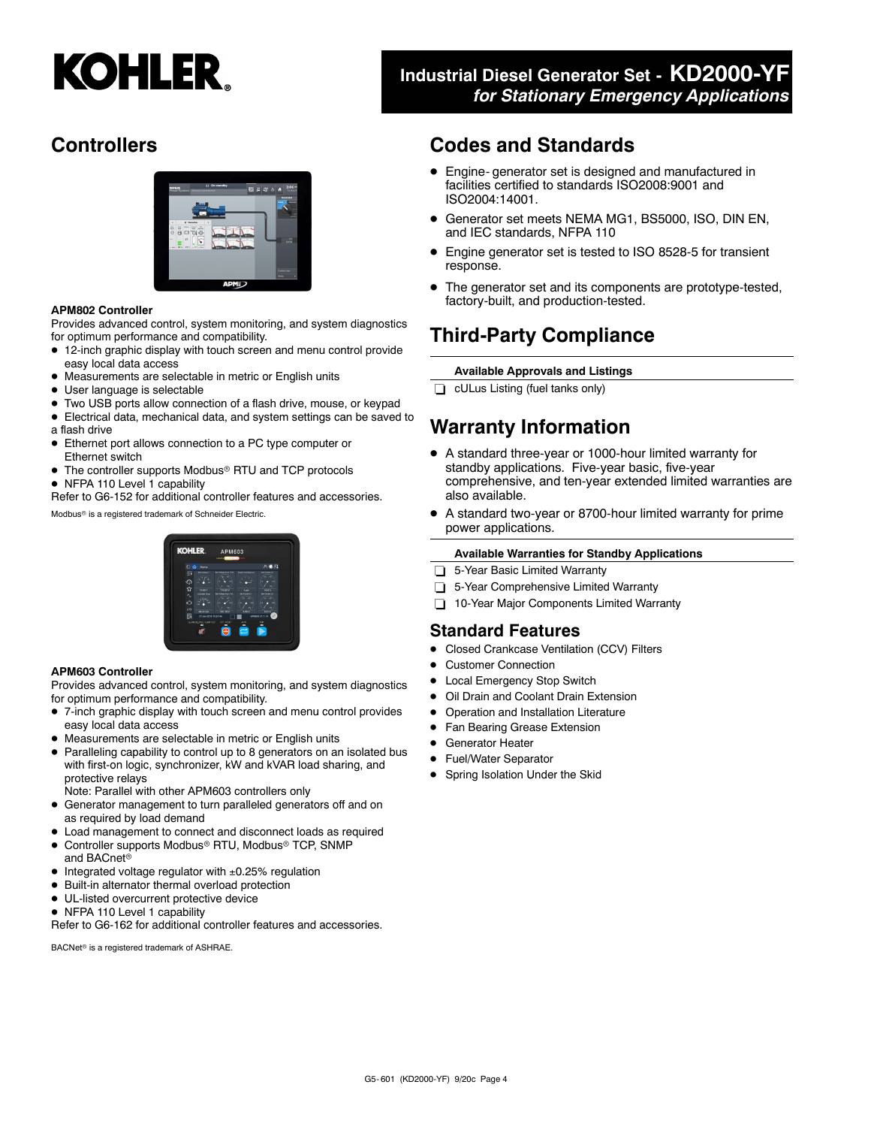# **KOHLER.**

## **Controllers**



#### **APM802 Controller**

Provides advanced control, system monitoring, and system diagnostics for optimum performance and compatibility.

- 12-inch graphic display with touch screen and menu control provide easy local data access
- $\bullet$  Measurements are selectable in metric or English units
- User language is selectable
- $\bullet$  Two USB ports allow connection of a flash drive, mouse, or keypad
- Electrical data, mechanical data, and system settings can be saved to a flash drive
- Ethernet port allows connection to a PC type computer or Ethernet switch
- The controller supports Modbus<sup>®</sup> RTU and TCP protocols
- NFPA 110 Level 1 capability

Refer to G6-152 for additional controller features and accessories.

Modbus<sup>®</sup> is a registered trademark of Schneider Electric.

# **KOHI EE**

#### **APM603 Controller**

Provides advanced control, system monitoring, and system diagnostics for optimum performance and compatibility.

- 7-inch graphic display with touch screen and menu control provides easy local data access
- Measurements are selectable in metric or English units
- Paralleling capability to control up to 8 generators on an isolated bus with first-on logic, synchronizer, kW and kVAR load sharing, and protective relays
- Note: Parallel with other APM603 controllers only
- **•** Generator management to turn paralleled generators off and on as required by load demand
- $\bullet$  Load management to connect and disconnect loads as required
- · Controller supports Modbus<sup>®</sup> RTU, Modbus® TCP, SNMP and BACnet<sup>®</sup>
- $\bullet$  Integrated voltage regulator with  $\pm 0.25\%$  regulation
- $\bullet$  Built-in alternator thermal overload protection
- $\bullet$  UL-listed overcurrent protective device
- NFPA 110 Level 1 capability

Refer to G6-162 for additional controller features and accessories.

BACNet<sup>®</sup> is a registered trademark of ASHRAE.

### **Industrial Diesel Generator Set - KD2000-YF** *for Stationary Emergency Applications*

#### **Codes and Standards**

- Engine- generator set is designed and manufactured in facilities certified to standards ISO2008:9001 and ISO2004:14001.
- $\bullet$  Generator set meets NEMA MG1, BS5000, ISO, DIN EN, and IEC standards, NFPA 110
- Engine generator set is tested to ISO 8528-5 for transient response.
- The generator set and its components are prototype-tested, factory-built, and production-tested.

# **Third-Party Compliance**

#### **Available Approvals and Listings**

 $\Box$  cULus Listing (fuel tanks only)

## **Warranty Information**

- A standard three-year or 1000-hour limited warranty for standby applications. Five-year basic, five-year comprehensive, and ten-year extended limited warranties are also available.
- A standard two-year or 8700-hour limited warranty for prime power applications.

#### **Available Warranties for Standby Applications**

- 5-Year Basic Limited Warranty
- 5-Year Comprehensive Limited Warranty
- 10-Year Major Components Limited Warranty

#### **Standard Features**

- Closed Crankcase Ventilation (CCV) Filters
- **Customer Connection**
- Local Emergency Stop Switch
- **Oil Drain and Coolant Drain Extension**
- Operation and Installation Literature
- Fan Bearing Grease Extension
- **•** Generator Heater
- Fuel/Water Separator
- Spring Isolation Under the Skid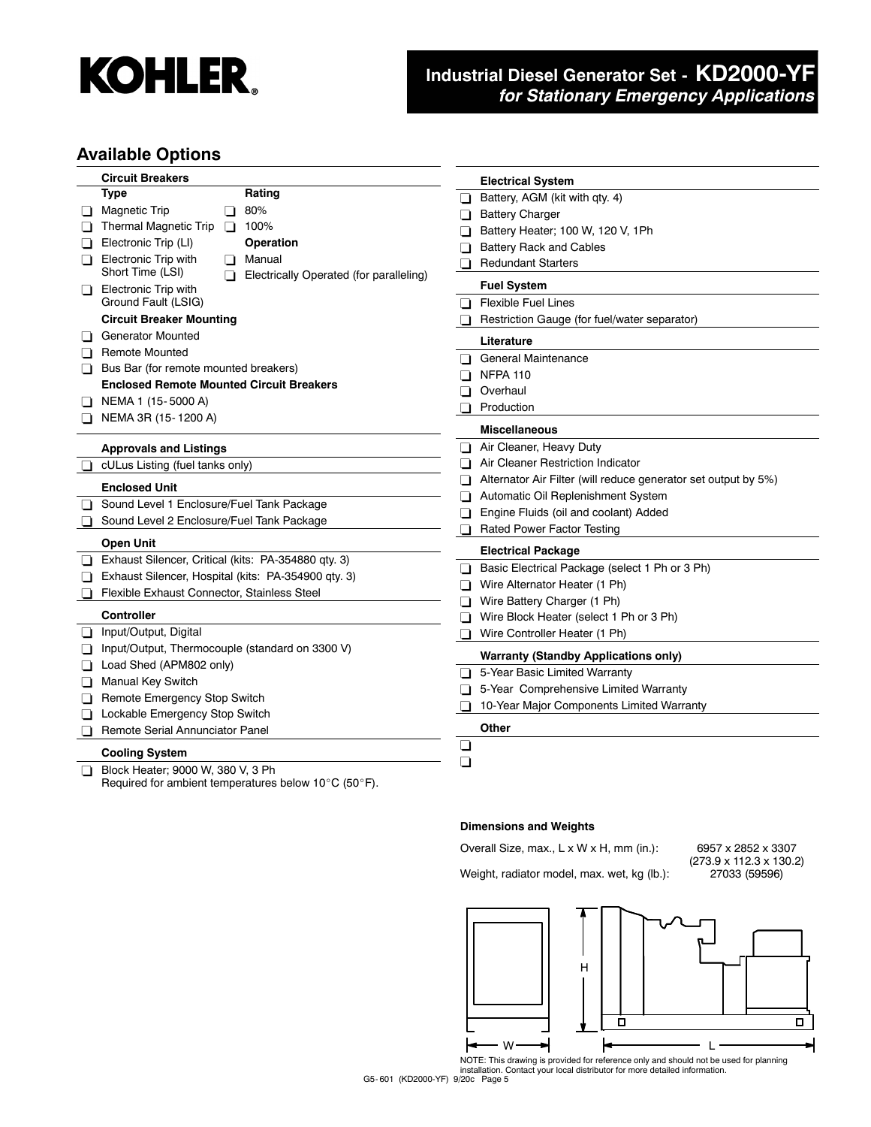

### **Industrial Diesel Generator Set - KD2000-YF** *for Stationary Emergency Applications*

#### **Available Options**

|         | <b>Circuit Breakers</b>                                                    |                | <b>Electrical System</b>                                       |
|---------|----------------------------------------------------------------------------|----------------|----------------------------------------------------------------|
|         | <b>Type</b><br>Rating                                                      | ◻              | Battery, AGM (kit with qty. 4)                                 |
| ப       | Magnetic Trip<br>80%<br>H                                                  | 0.             | <b>Battery Charger</b>                                         |
|         | <b>Thermal Magnetic Trip</b><br>100%<br>n                                  | $\Box$         | Battery Heater; 100 W, 120 V, 1Ph                              |
|         | Electronic Trip (LI)<br><b>Operation</b>                                   |                | <b>Battery Rack and Cables</b>                                 |
| l I     | <b>Electronic Trip with</b><br>Manual<br>n                                 |                | <b>Redundant Starters</b>                                      |
|         | Short Time (LSI)<br>Electrically Operated (for paralleling)<br>n           |                | <b>Fuel System</b>                                             |
| ப       | Electronic Trip with<br>Ground Fault (LSIG)                                | ΠL             | <b>Flexible Fuel Lines</b>                                     |
|         | <b>Circuit Breaker Mounting</b>                                            |                | Restriction Gauge (for fuel/water separator)                   |
|         | <b>Generator Mounted</b>                                                   |                |                                                                |
| ப       | <b>Remote Mounted</b>                                                      |                | Literature                                                     |
| ப       | Bus Bar (for remote mounted breakers)                                      | $\Box$         | <b>General Maintenance</b>                                     |
|         | <b>Enclosed Remote Mounted Circuit Breakers</b>                            | n              | <b>NFPA 110</b>                                                |
| ப       | NEMA 1 (15-5000 A)                                                         | n              | Overhaul                                                       |
|         | NEMA 3R (15-1200 A)                                                        |                | Production                                                     |
|         |                                                                            |                | <b>Miscellaneous</b>                                           |
|         | <b>Approvals and Listings</b>                                              | $\Box$         | Air Cleaner, Heavy Duty                                        |
| ப       | cULus Listing (fuel tanks only)                                            | $\Box$         | Air Cleaner Restriction Indicator                              |
|         | <b>Enclosed Unit</b>                                                       | LΙ             | Alternator Air Filter (will reduce generator set output by 5%) |
| ⊔       | Sound Level 1 Enclosure/Fuel Tank Package                                  |                | Automatic Oil Replenishment System                             |
|         | Sound Level 2 Enclosure/Fuel Tank Package                                  |                | Engine Fluids (oil and coolant) Added                          |
|         | <b>Open Unit</b>                                                           |                | Rated Power Factor Testing                                     |
| ⊔       | Exhaust Silencer, Critical (kits: PA-354880 qty. 3)                        |                | <b>Electrical Package</b>                                      |
| ப       | Exhaust Silencer, Hospital (kits: PA-354900 qty. 3)                        | ப              | Basic Electrical Package (select 1 Ph or 3 Ph)                 |
| ப       | Flexible Exhaust Connector, Stainless Steel                                | n              | Wire Alternator Heater (1 Ph)                                  |
|         |                                                                            | $\blacksquare$ | Wire Battery Charger (1 Ph)                                    |
|         | <b>Controller</b>                                                          | П              | Wire Block Heater (select 1 Ph or 3 Ph)                        |
| ப       | Input/Output, Digital                                                      | П              | Wire Controller Heater (1 Ph)                                  |
| ப       | Input/Output, Thermocouple (standard on 3300 V)<br>Load Shed (APM802 only) |                | <b>Warranty (Standby Applications only)</b>                    |
| $\perp$ | <b>Manual Key Switch</b>                                                   | П.             | 5-Year Basic Limited Warranty                                  |
| ப       | Remote Emergency Stop Switch                                               |                | 5-Year Comprehensive Limited Warranty                          |
| ப       | Lockable Emergency Stop Switch                                             |                | 10-Year Major Components Limited Warranty                      |
| ப       | Remote Serial Annunciator Panel                                            |                | Other                                                          |
|         | <b>Cooling System</b>                                                      | ⊔              |                                                                |
|         | Block Heater; 9000 W, 380 V, 3 Ph                                          | ◻              |                                                                |
| l I     | Required for ambient temperatures below $10^{\circ}$ C (50 $^{\circ}$ F).  |                |                                                                |

#### **Dimensions and Weights**

Overall Size, max., L x W x H, mm (in.): 6957 x 2852 x 3307 Weight, radiator model, max. wet, kg (lb.):

 $(273.9 \times 112.3 \times 130.2)$ <br>27033 (59596)



NOTE: This drawing is provided for reference only and should not be used for planning installation. Contact your local distributor for more detailed information.